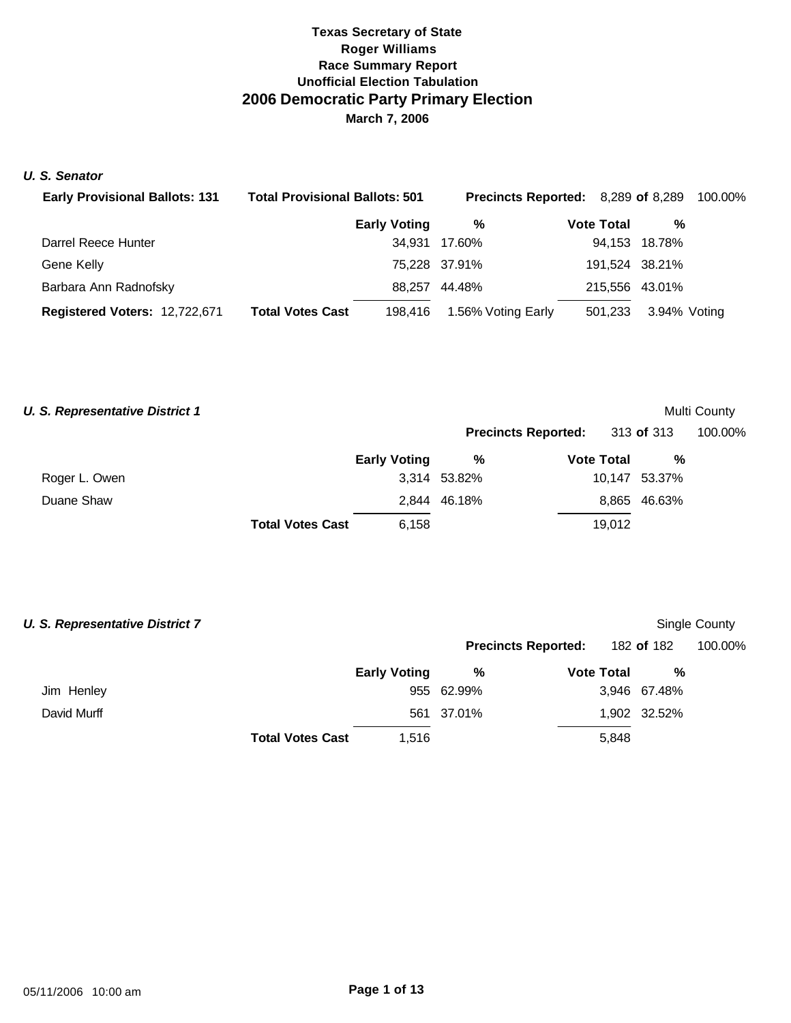## *U. S. Senator*

| <b>Early Provisional Ballots: 131</b> | <b>Total Provisional Ballots: 501</b> |                     | <b>Precincts Reported:</b> 8,289 of 8,289 |                   |  | 100.00%        |  |
|---------------------------------------|---------------------------------------|---------------------|-------------------------------------------|-------------------|--|----------------|--|
|                                       |                                       | <b>Early Voting</b> | %                                         | <b>Vote Total</b> |  | %              |  |
| Darrel Reece Hunter                   |                                       |                     | 34,931 17.60%                             |                   |  | 94,153 18.78%  |  |
| Gene Kelly                            |                                       |                     | 75,228 37.91%                             |                   |  | 191.524 38.21% |  |
| Barbara Ann Radnofsky                 |                                       | 88.257              | 44.48%                                    |                   |  | 215,556 43.01% |  |
| Registered Voters: 12,722,671         | <b>Total Votes Cast</b>               | 198.416             | 1.56% Voting Early                        | 501,233           |  | 3.94% Voting   |  |

| <b>U. S. Representative District 1</b> |                         |                     |              |                            |            |               | Multi County |
|----------------------------------------|-------------------------|---------------------|--------------|----------------------------|------------|---------------|--------------|
|                                        |                         | <b>Early Voting</b> |              | <b>Precincts Reported:</b> | 313 of 313 |               | 100.00%      |
|                                        |                         |                     | %            | <b>Vote Total</b>          |            | %             |              |
| Roger L. Owen                          |                         |                     | 3,314 53.82% |                            |            | 10,147 53.37% |              |
| Duane Shaw                             |                         |                     | 2,844 46.18% |                            |            | 8,865 46.63%  |              |
|                                        | <b>Total Votes Cast</b> | 6.158               |              |                            | 19.012     |               |              |

| <b>U. S. Representative District 7</b> |                         |                     |            |                            |              | Single County |
|----------------------------------------|-------------------------|---------------------|------------|----------------------------|--------------|---------------|
|                                        |                         |                     |            | <b>Precincts Reported:</b> | 182 of 182   | 100.00%       |
|                                        |                         | <b>Early Voting</b> | %          | <b>Vote Total</b>          | %            |               |
| Jim Henley                             |                         |                     | 955 62.99% |                            | 3,946 67.48% |               |
| David Murff                            |                         |                     | 561 37.01% |                            | 1,902 32.52% |               |
|                                        | <b>Total Votes Cast</b> | 1.516               |            | 5,848                      |              |               |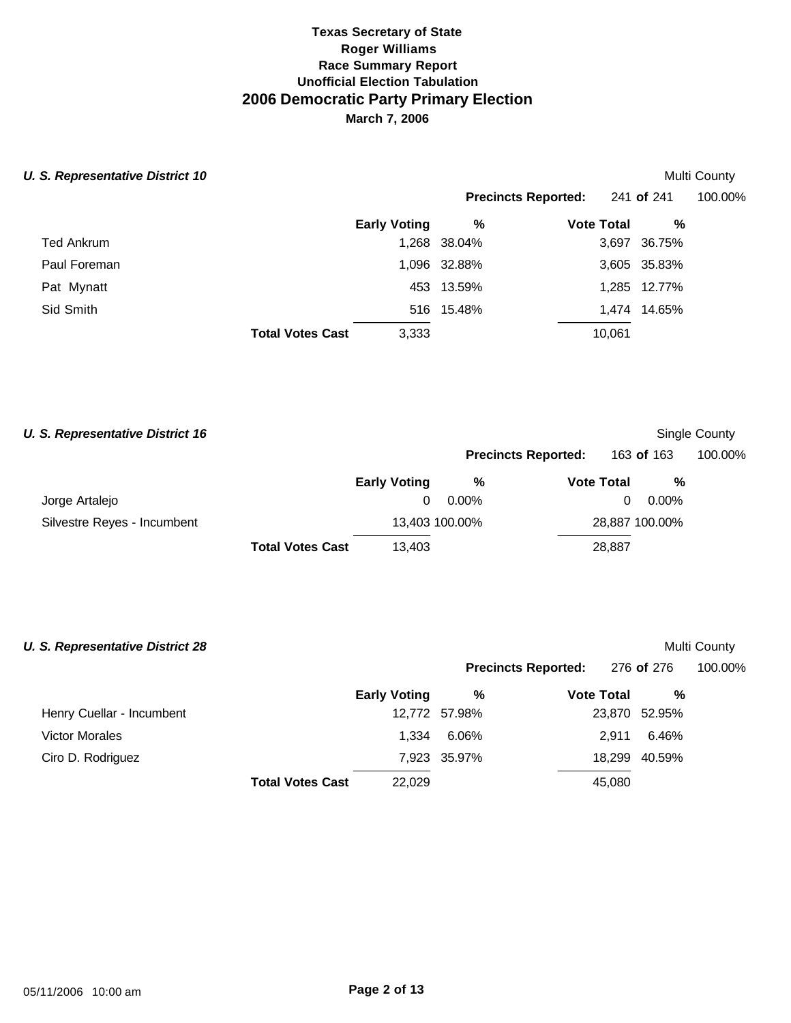## **U. S. Representative District 10** Multi County

|                         |                     |              | Precincts Reported: 241 of 241 |              | 100.00% |
|-------------------------|---------------------|--------------|--------------------------------|--------------|---------|
|                         | <b>Early Voting</b> | %            | <b>Vote Total</b>              | %            |         |
| <b>Ted Ankrum</b>       |                     | 1,268 38.04% |                                | 3,697 36.75% |         |
| Paul Foreman            |                     | 1,096 32.88% |                                | 3,605 35.83% |         |
| Pat Mynatt              |                     | 453 13.59%   |                                | 1,285 12.77% |         |
| Sid Smith               |                     | 516 15.48%   |                                | 1,474 14.65% |         |
| <b>Total Votes Cast</b> | 3,333               |              | 10,061                         |              |         |

| <b>U. S. Representative District 16</b> |                         |                     |                            |                   |            |                | Single County |
|-----------------------------------------|-------------------------|---------------------|----------------------------|-------------------|------------|----------------|---------------|
|                                         |                         |                     | <b>Precincts Reported:</b> |                   | 163 of 163 |                | 100.00%       |
|                                         |                         | <b>Early Voting</b> | %                          | <b>Vote Total</b> |            | %              |               |
| Jorge Artalejo                          |                         | 0                   | $0.00\%$                   |                   | 0          | $0.00\%$       |               |
| Silvestre Reyes - Incumbent             |                         |                     | 13,403 100.00%             |                   |            | 28,887 100.00% |               |
|                                         | <b>Total Votes Cast</b> | 13,403              |                            |                   | 28,887     |                |               |

| <b>U. S. Representative District 28</b> |                         |                     |              |                            |               | Multi County |
|-----------------------------------------|-------------------------|---------------------|--------------|----------------------------|---------------|--------------|
|                                         |                         |                     |              | <b>Precincts Reported:</b> | 276 of 276    | 100.00%      |
|                                         |                         | <b>Early Voting</b> | %            | <b>Vote Total</b>          | %             |              |
| Henry Cuellar - Incumbent               |                         | 12,772              | 57.98%       |                            | 23,870 52.95% |              |
| <b>Victor Morales</b>                   |                         | 1.334               | 6.06%        | 2.911                      | 6.46%         |              |
| Ciro D. Rodriguez                       |                         |                     | 7,923 35.97% |                            | 18,299 40.59% |              |
|                                         | <b>Total Votes Cast</b> | 22.029              |              | 45,080                     |               |              |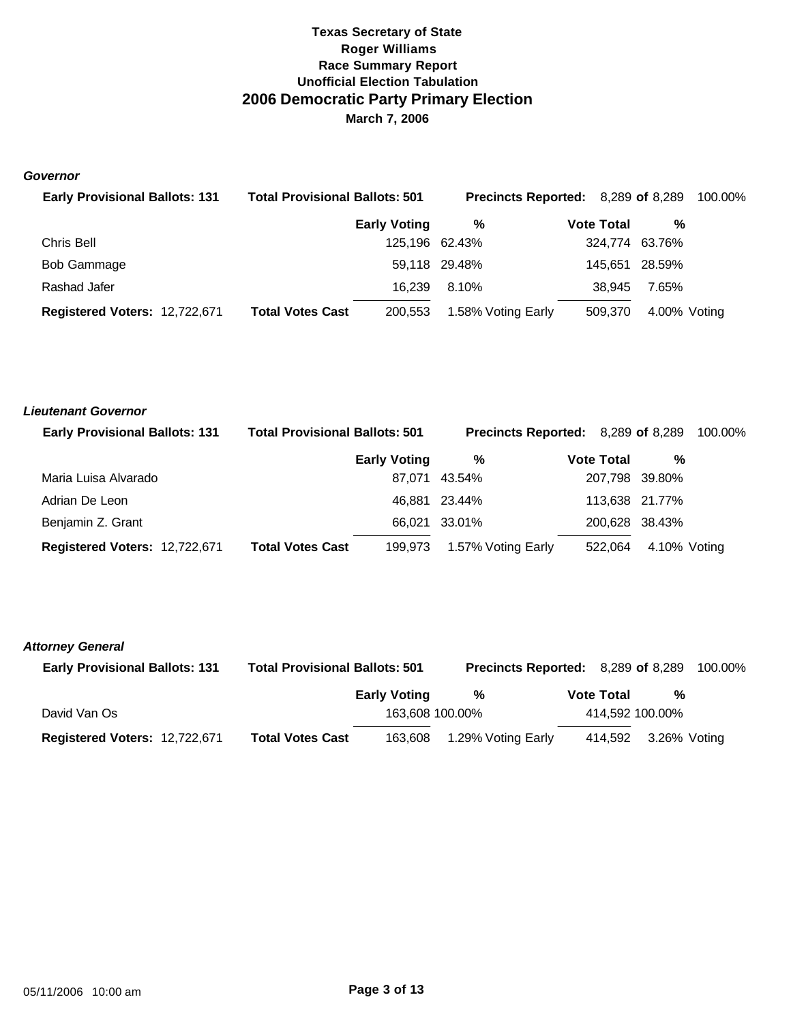#### *Governor*

| <b>Early Provisional Ballots: 131</b> | <b>Total Provisional Ballots: 501</b> |                     | <b>Precincts Reported:</b> 8,289 of 8,289 |                   |                |  |  |
|---------------------------------------|---------------------------------------|---------------------|-------------------------------------------|-------------------|----------------|--|--|
|                                       |                                       | <b>Early Voting</b> | %                                         | <b>Vote Total</b> | %              |  |  |
| Chris Bell                            |                                       | 125,196 62.43%      |                                           | 324,774           | 63.76%         |  |  |
| Bob Gammage                           |                                       |                     | 59,118 29.48%                             |                   | 145.651 28.59% |  |  |
| Rashad Jafer                          |                                       | 16.239              | 8.10%                                     | 38.945            | 7.65%          |  |  |
| Registered Voters: 12,722,671         | <b>Total Votes Cast</b>               | 200,553             | 1.58% Voting Early                        | 509,370           | 4.00% Voting   |  |  |

| Lieutenant Governor                   |                                       |                     |                    |                                           |                |         |
|---------------------------------------|---------------------------------------|---------------------|--------------------|-------------------------------------------|----------------|---------|
| <b>Early Provisional Ballots: 131</b> | <b>Total Provisional Ballots: 501</b> |                     |                    | <b>Precincts Reported:</b> 8,289 of 8,289 |                | 100.00% |
|                                       |                                       | <b>Early Voting</b> | %                  | <b>Vote Total</b>                         | %              |         |
| Maria Luisa Alvarado                  |                                       |                     | 87.071 43.54%      |                                           | 207,798 39.80% |         |
| Adrian De Leon                        |                                       |                     | 46.881 23.44%      |                                           | 113,638 21.77% |         |
| Benjamin Z. Grant                     |                                       |                     | 66,021 33.01%      |                                           | 200,628 38.43% |         |
| Registered Voters: 12,722,671         | <b>Total Votes Cast</b>               | 199.973             | 1.57% Voting Early | 522.064                                   | 4.10% Voting   |         |

#### *Attorney General*

| <b>Early Provisional Ballots: 131</b> | <b>Total Provisional Ballots: 501</b> |                     | <b>Precincts Reported:</b> 8,289 of 8,289 |  |                   |                 | 100.00% |
|---------------------------------------|---------------------------------------|---------------------|-------------------------------------------|--|-------------------|-----------------|---------|
|                                       |                                       | <b>Early Voting</b> | %                                         |  | <b>Vote Total</b> | %               |         |
| David Van Os                          |                                       |                     | 163,608 100.00%                           |  |                   | 414,592 100.00% |         |
| Registered Voters: 12,722,671         | <b>Total Votes Cast</b>               | 163,608             | 1.29% Voting Early                        |  | 414.592           | 3.26% Voting    |         |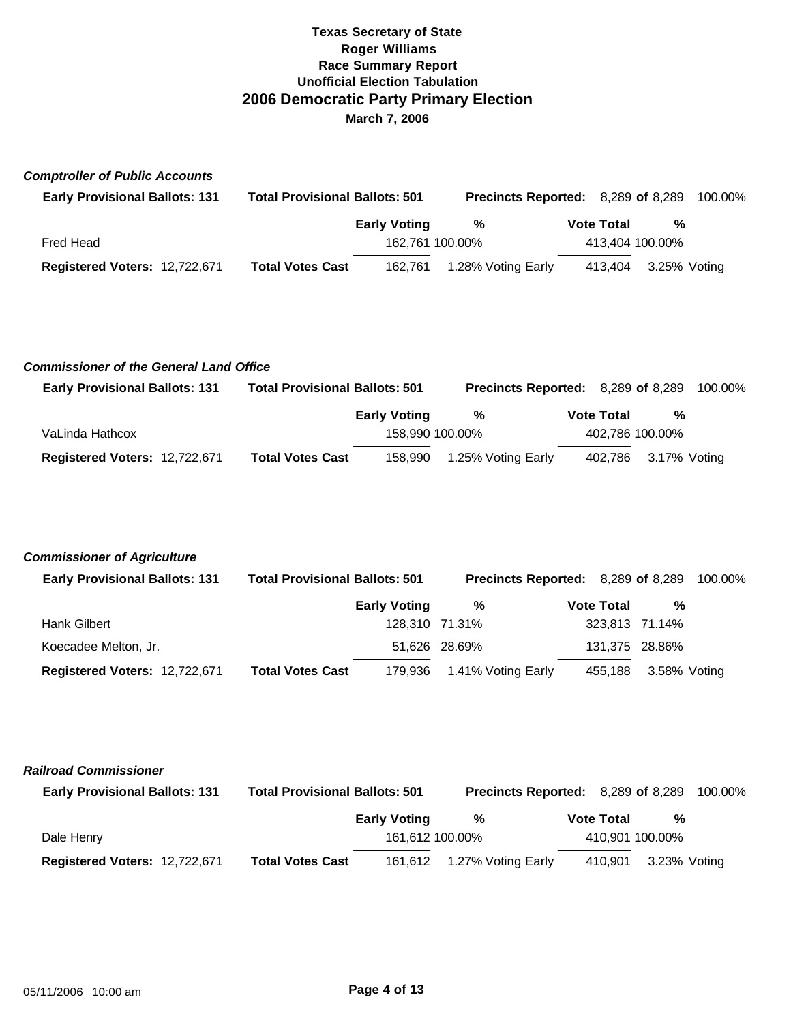## *Comptroller of Public Accounts*

| <b>Early Provisional Ballots: 131</b> | <b>Total Provisional Ballots: 501</b> |                     | <b>Precincts Reported:</b> 8,289 of 8,289 |  |                   |                 | 100.00% |
|---------------------------------------|---------------------------------------|---------------------|-------------------------------------------|--|-------------------|-----------------|---------|
|                                       |                                       | <b>Early Voting</b> | %                                         |  | <b>Vote Total</b> | %               |         |
| Fred Head                             |                                       |                     | 162.761 100.00%                           |  |                   | 413,404 100.00% |         |
| Registered Voters: 12,722,671         | <b>Total Votes Cast</b>               | 162.761             | 1.28% Voting Early                        |  | 413.404           | 3.25% Voting    |         |

## *Commissioner of the General Land Office*

| <b>Early Provisional Ballots: 131</b> | <b>Total Provisional Ballots: 501</b> |                     | <b>Precincts Reported:</b> 8,289 of 8,289 |                   |  |                      | 100.00% |
|---------------------------------------|---------------------------------------|---------------------|-------------------------------------------|-------------------|--|----------------------|---------|
|                                       |                                       | <b>Early Voting</b> | %                                         | <b>Vote Total</b> |  | %                    |         |
| VaLinda Hathcox                       |                                       | 158.990 100.00%     |                                           |                   |  | 402,786 100.00%      |         |
| Registered Voters: 12,722,671         | <b>Total Votes Cast</b>               | 158,990             | 1.25% Voting Early                        |                   |  | 402,786 3.17% Voting |         |

## *Commissioner of Agriculture*

| <b>Early Provisional Ballots: 131</b> | <b>Total Provisional Ballots: 501</b> | <b>Precincts Reported:</b> 8,289 of 8,289 |                    |                   |                | 100.00% |
|---------------------------------------|---------------------------------------|-------------------------------------------|--------------------|-------------------|----------------|---------|
|                                       |                                       | <b>Early Voting</b>                       | %                  | <b>Vote Total</b> | %              |         |
| Hank Gilbert                          |                                       |                                           | 128.310 71.31%     |                   | 323,813 71.14% |         |
| Koecadee Melton, Jr.                  |                                       |                                           | 51,626 28.69%      |                   | 131,375 28.86% |         |
| Registered Voters: 12,722,671         | <b>Total Votes Cast</b>               | 179,936                                   | 1.41% Voting Early | 455.188           | 3.58% Voting   |         |

## *Railroad Commissioner*

| <b>Early Provisional Ballots: 131</b> | <b>Total Provisional Ballots: 501</b> |                     | Precincts Reported: 8,289 of 8,289 |  |                   |                 | 100.00% |  |
|---------------------------------------|---------------------------------------|---------------------|------------------------------------|--|-------------------|-----------------|---------|--|
|                                       |                                       | <b>Early Voting</b> | ℅                                  |  | <b>Vote Total</b> | %               |         |  |
| Dale Henry                            |                                       | 161,612 100.00%     |                                    |  |                   | 410,901 100.00% |         |  |
| Registered Voters: 12,722,671         | <b>Total Votes Cast</b>               |                     | 161,612 1.27% Voting Early         |  | 410.901           | 3.23% Votina    |         |  |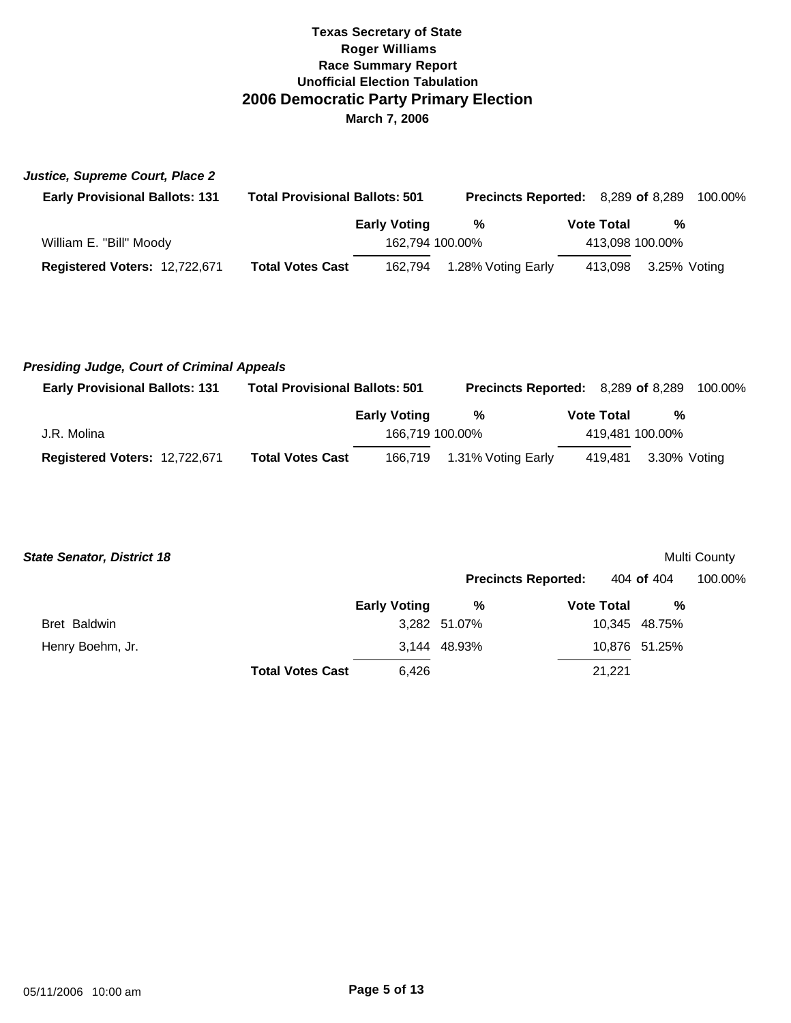| Justice, Supreme Court, Place 2       |                                       |                     |                                    |                   |                 |              |
|---------------------------------------|---------------------------------------|---------------------|------------------------------------|-------------------|-----------------|--------------|
| <b>Early Provisional Ballots: 131</b> | <b>Total Provisional Ballots: 501</b> |                     | Precincts Reported: 8,289 of 8,289 |                   |                 | 100.00%      |
|                                       |                                       | <b>Early Voting</b> | %                                  | <b>Vote Total</b> |                 | %            |
| William E. "Bill" Moody               |                                       |                     | 162,794 100.00%                    |                   | 413,098 100.00% |              |
| Registered Voters: 12,722,671         | <b>Total Votes Cast</b>               | 162.794             | 1.28% Voting Early                 | 413.098           |                 | 3.25% Voting |

## *Presiding Judge, Court of Criminal Appeals*

| <b>Early Provisional Ballots: 131</b> | <b>Total Provisional Ballots: 501</b> |                     | <b>Precincts Reported:</b> 8,289 of 8,289 |                   |         |                 | 100.00% |
|---------------------------------------|---------------------------------------|---------------------|-------------------------------------------|-------------------|---------|-----------------|---------|
|                                       |                                       | <b>Early Voting</b> | %                                         | <b>Vote Total</b> |         | %               |         |
| J.R. Molina                           |                                       | 166.719 100.00%     |                                           |                   |         | 419,481 100.00% |         |
| Registered Voters: 12,722,671         | <b>Total Votes Cast</b>               |                     | 166,719 1.31% Voting Early                |                   | 419.481 | 3.30% Voting    |         |

| <b>State Senator, District 18</b> |                         |                     |              |                            |               | Multi County |
|-----------------------------------|-------------------------|---------------------|--------------|----------------------------|---------------|--------------|
|                                   |                         |                     |              | <b>Precincts Reported:</b> | 404 of 404    | 100.00%      |
|                                   |                         | <b>Early Voting</b> | %            | <b>Vote Total</b>          | %             |              |
| Bret Baldwin                      |                         |                     | 3,282 51.07% |                            | 10,345 48.75% |              |
| Henry Boehm, Jr.                  |                         |                     | 3,144 48.93% |                            | 10,876 51.25% |              |
|                                   | <b>Total Votes Cast</b> | 6.426               |              | 21,221                     |               |              |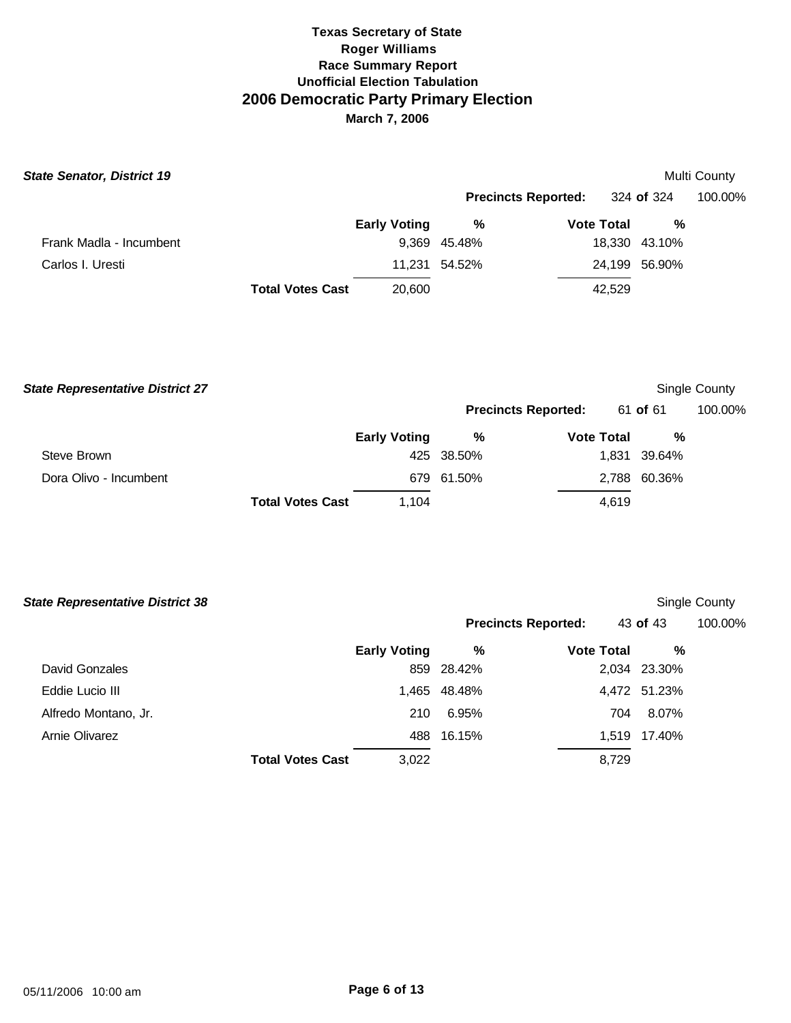| <b>State Senator, District 19</b> |                         |                     |               |                            |               | Multi County |
|-----------------------------------|-------------------------|---------------------|---------------|----------------------------|---------------|--------------|
|                                   |                         |                     |               | <b>Precincts Reported:</b> | 324 of 324    | 100.00%      |
|                                   |                         | <b>Early Voting</b> | %             | <b>Vote Total</b>          | %             |              |
| Frank Madla - Incumbent           |                         |                     | 9,369 45.48%  |                            | 18,330 43.10% |              |
| Carlos I. Uresti                  |                         |                     | 11.231 54.52% |                            | 24,199 56.90% |              |
|                                   | <b>Total Votes Cast</b> | 20,600              |               | 42,529                     |               |              |

| <b>State Representative District 27</b> |                                  |            |                            |              | Single County |
|-----------------------------------------|----------------------------------|------------|----------------------------|--------------|---------------|
|                                         |                                  |            | <b>Precincts Reported:</b> | 61 of 61     | 100.00%       |
|                                         | <b>Early Voting</b>              | %          | <b>Vote Total</b>          | %            |               |
| Steve Brown                             |                                  | 425 38.50% |                            | 1,831 39.64% |               |
| Dora Olivo - Incumbent                  |                                  | 679 61.50% |                            | 2,788 60.36% |               |
|                                         | <b>Total Votes Cast</b><br>1.104 |            | 4.619                      |              |               |

| <b>State Representative District 38</b> |                     |              |                            |              | Single County |
|-----------------------------------------|---------------------|--------------|----------------------------|--------------|---------------|
|                                         |                     |              | <b>Precincts Reported:</b> | 43 of 43     | 100.00%       |
|                                         | <b>Early Voting</b> | %            | <b>Vote Total</b>          | %            |               |
| David Gonzales                          |                     | 859 28.42%   |                            | 2,034 23.30% |               |
| Eddie Lucio III                         |                     | 1,465 48.48% |                            | 4,472 51.23% |               |
| Alfredo Montano, Jr.                    | 210                 | 6.95%        | 704                        | 8.07%        |               |
| Arnie Olivarez                          |                     | 488 16.15%   |                            | 1,519 17.40% |               |
| <b>Total Votes Cast</b>                 | 3,022               |              | 8,729                      |              |               |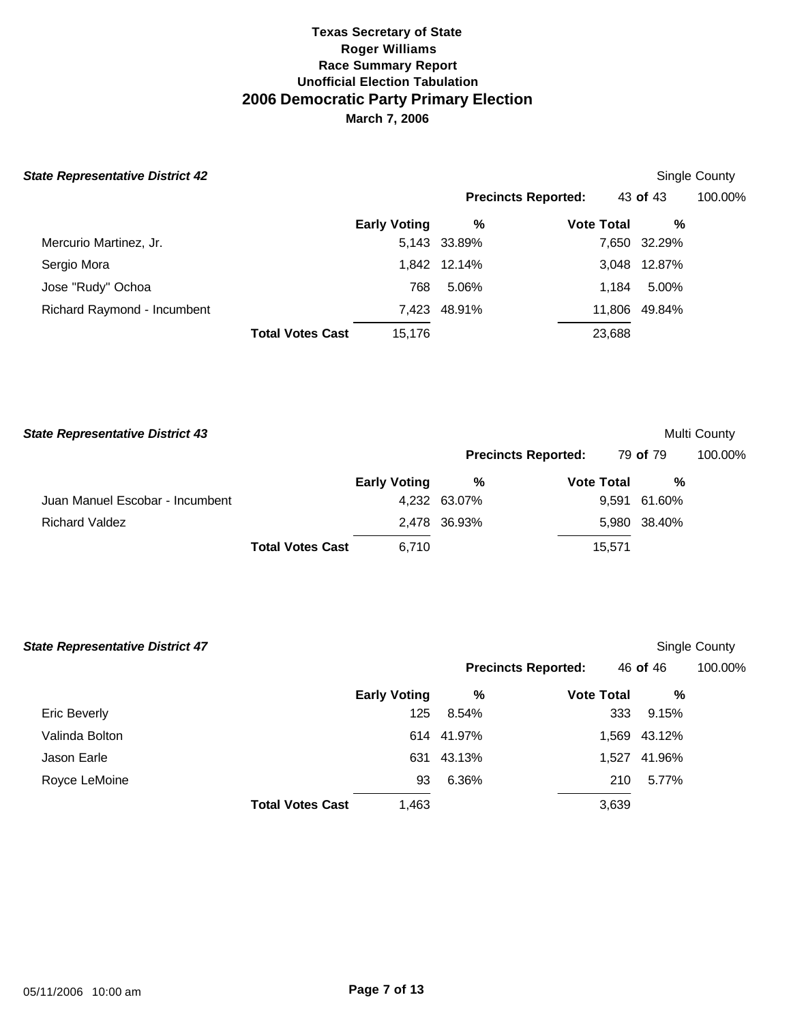## **State Representative District 42**

|                            |          | Single County |
|----------------------------|----------|---------------|
| <b>Precincts Reported:</b> | 43 of 43 | 100.00%       |

|                             |                         | <b>Early Voting</b> | %            | <b>Vote Total</b> | %             |
|-----------------------------|-------------------------|---------------------|--------------|-------------------|---------------|
| Mercurio Martinez, Jr.      |                         |                     | 5,143 33.89% |                   | 7,650 32.29%  |
| Sergio Mora                 |                         |                     | 1,842 12.14% |                   | 3,048 12.87%  |
| Jose "Rudy" Ochoa           |                         | 768                 | 5.06%        | 1.184             | 5.00%         |
| Richard Raymond - Incumbent |                         |                     | 7,423 48.91% |                   | 11,806 49.84% |
|                             | <b>Total Votes Cast</b> | 15.176              |              | 23,688            |               |

| <b>State Representative District 43</b> |                         |                     |                            |                   |        |              | Multi County |
|-----------------------------------------|-------------------------|---------------------|----------------------------|-------------------|--------|--------------|--------------|
|                                         |                         |                     | <b>Precincts Reported:</b> |                   |        | 79 of 79     | 100.00%      |
|                                         |                         | <b>Early Voting</b> | %                          | <b>Vote Total</b> |        | %            |              |
| Juan Manuel Escobar - Incumbent         |                         |                     | 4,232 63.07%               |                   |        | 9,591 61.60% |              |
| <b>Richard Valdez</b>                   |                         |                     | 2,478 36.93%               |                   |        | 5,980 38.40% |              |
|                                         | <b>Total Votes Cast</b> | 6.710               |                            |                   | 15,571 |              |              |

| <b>State Representative District 47</b> |                         |                     |            |                            |          |              | Single County |
|-----------------------------------------|-------------------------|---------------------|------------|----------------------------|----------|--------------|---------------|
|                                         |                         |                     |            | <b>Precincts Reported:</b> | 46 of 46 |              | 100.00%       |
|                                         |                         | <b>Early Voting</b> | %          | <b>Vote Total</b>          |          | %            |               |
| Eric Beverly                            |                         | 125                 | 8.54%      |                            | 333      | 9.15%        |               |
| Valinda Bolton                          |                         |                     | 614 41.97% |                            |          | 1,569 43.12% |               |
| Jason Earle                             |                         | 631                 | 43.13%     |                            | 1,527    | 41.96%       |               |
| Royce LeMoine                           |                         | 93                  | 6.36%      |                            | 210      | 5.77%        |               |
|                                         | <b>Total Votes Cast</b> | 1,463               |            |                            | 3,639    |              |               |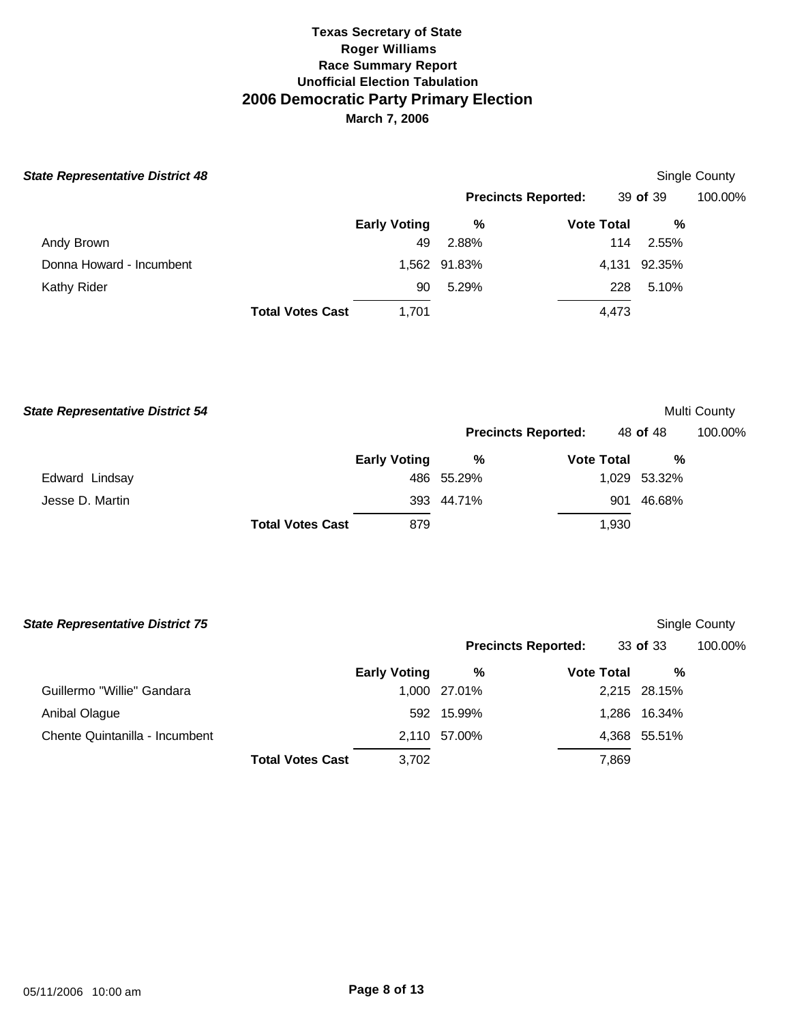| <b>State Representative District 48</b> |                     |              |                            |          | Single County |
|-----------------------------------------|---------------------|--------------|----------------------------|----------|---------------|
|                                         |                     |              | <b>Precincts Reported:</b> | 39 of 39 | 100.00%       |
|                                         | <b>Early Voting</b> | %            | <b>Vote Total</b>          | %        |               |
| Andy Brown                              | 49                  | 2.88%        | 114                        | 2.55%    |               |
| Donna Howard - Incumbent                |                     | 1,562 91.83% | 4,131                      | 92.35%   |               |
| Kathy Rider                             | 90                  | 5.29%        | 228                        | 5.10%    |               |
| <b>Total Votes Cast</b>                 | 1.701               |              | 4,473                      |          |               |

| <b>State Representative District 54</b> |                         |                     |                            |                   |               | Multi County |
|-----------------------------------------|-------------------------|---------------------|----------------------------|-------------------|---------------|--------------|
|                                         |                         |                     | <b>Precincts Reported:</b> |                   | 48 of 48      | 100.00%      |
|                                         |                         | <b>Early Voting</b> | %                          | <b>Vote Total</b> | %             |              |
| Edward Lindsay                          |                         |                     | 486 55.29%                 |                   | 1,029 53.32%  |              |
| Jesse D. Martin                         |                         |                     | 393 44.71%                 |                   | 46.68%<br>901 |              |
|                                         | <b>Total Votes Cast</b> | 879                 |                            | 1,930             |               |              |

| <b>State Representative District 75</b> |                         |                     |              |                            |              | Single County |
|-----------------------------------------|-------------------------|---------------------|--------------|----------------------------|--------------|---------------|
|                                         |                         |                     |              | <b>Precincts Reported:</b> | 33 of 33     | 100.00%       |
|                                         |                         | <b>Early Voting</b> | %            | <b>Vote Total</b>          | %            |               |
| Guillermo "Willie" Gandara              |                         |                     | 1,000 27.01% |                            | 2,215 28.15% |               |
| Anibal Olague                           |                         |                     | 592 15.99%   |                            | 1,286 16.34% |               |
| Chente Quintanilla - Incumbent          |                         |                     | 2,110 57.00% |                            | 4,368 55.51% |               |
|                                         | <b>Total Votes Cast</b> | 3.702               |              | 7,869                      |              |               |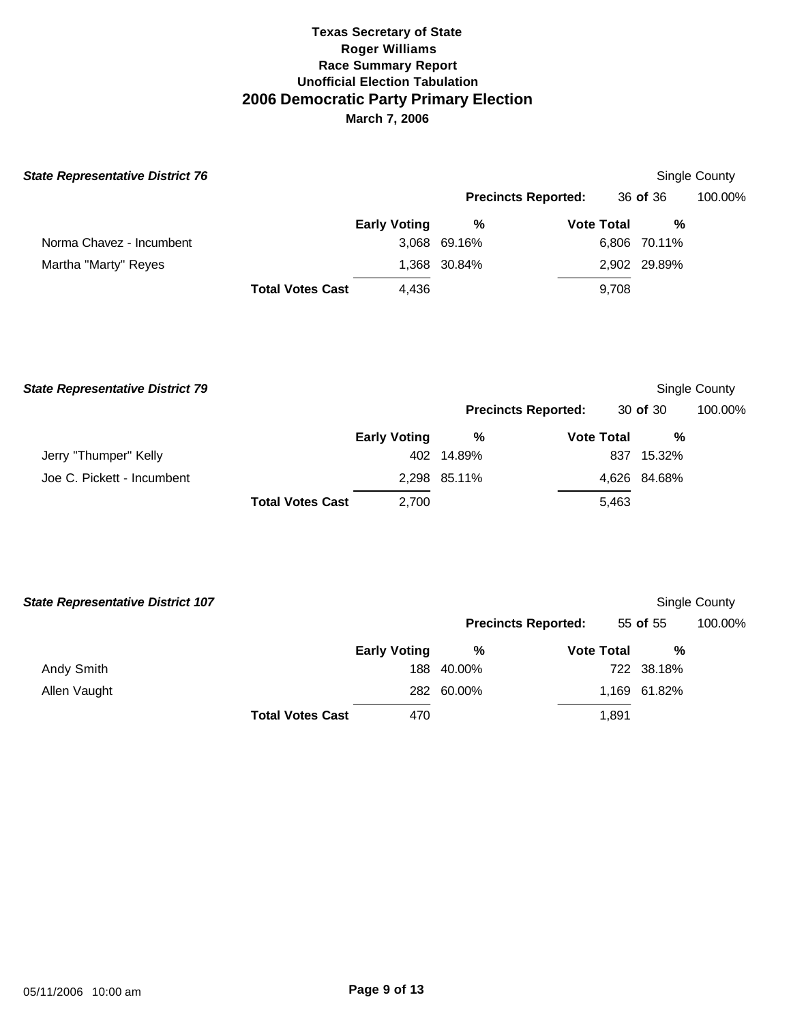| <b>State Representative District 76</b> |                                  |                            |                   |              | Single County |
|-----------------------------------------|----------------------------------|----------------------------|-------------------|--------------|---------------|
|                                         |                                  | <b>Precincts Reported:</b> |                   | 36 of 36     | 100.00%       |
|                                         | <b>Early Voting</b>              | %                          | <b>Vote Total</b> | %            |               |
| Norma Chavez - Incumbent                |                                  | 3,068 69.16%               |                   | 6,806 70.11% |               |
| Martha "Marty" Reyes                    |                                  | 1,368 30.84%               |                   | 2,902 29.89% |               |
|                                         | <b>Total Votes Cast</b><br>4,436 |                            | 9,708             |              |               |

| <b>State Representative District 79</b> |                         |                     |              |                            |              | Single County |
|-----------------------------------------|-------------------------|---------------------|--------------|----------------------------|--------------|---------------|
|                                         |                         |                     |              | <b>Precincts Reported:</b> | 30 of 30     | 100.00%       |
|                                         |                         | <b>Early Voting</b> | %            | <b>Vote Total</b>          | %            |               |
| Jerry "Thumper" Kelly                   |                         |                     | 402 14.89%   | 837                        | 15.32%       |               |
| Joe C. Pickett - Incumbent              |                         |                     | 2,298 85.11% |                            | 4,626 84.68% |               |
|                                         | <b>Total Votes Cast</b> | 2,700               |              | 5.463                      |              |               |

| <b>State Representative District 107</b> |                         |                     |            |                            |              | Single County |
|------------------------------------------|-------------------------|---------------------|------------|----------------------------|--------------|---------------|
|                                          |                         |                     |            | <b>Precincts Reported:</b> | 55 of 55     | 100.00%       |
|                                          |                         | <b>Early Voting</b> | %          | <b>Vote Total</b>          | %            |               |
| Andy Smith                               |                         | 188                 | 40.00%     |                            | 722 38.18%   |               |
| Allen Vaught                             |                         |                     | 282 60.00% |                            | 1,169 61.82% |               |
|                                          | <b>Total Votes Cast</b> | 470                 |            | 1,891                      |              |               |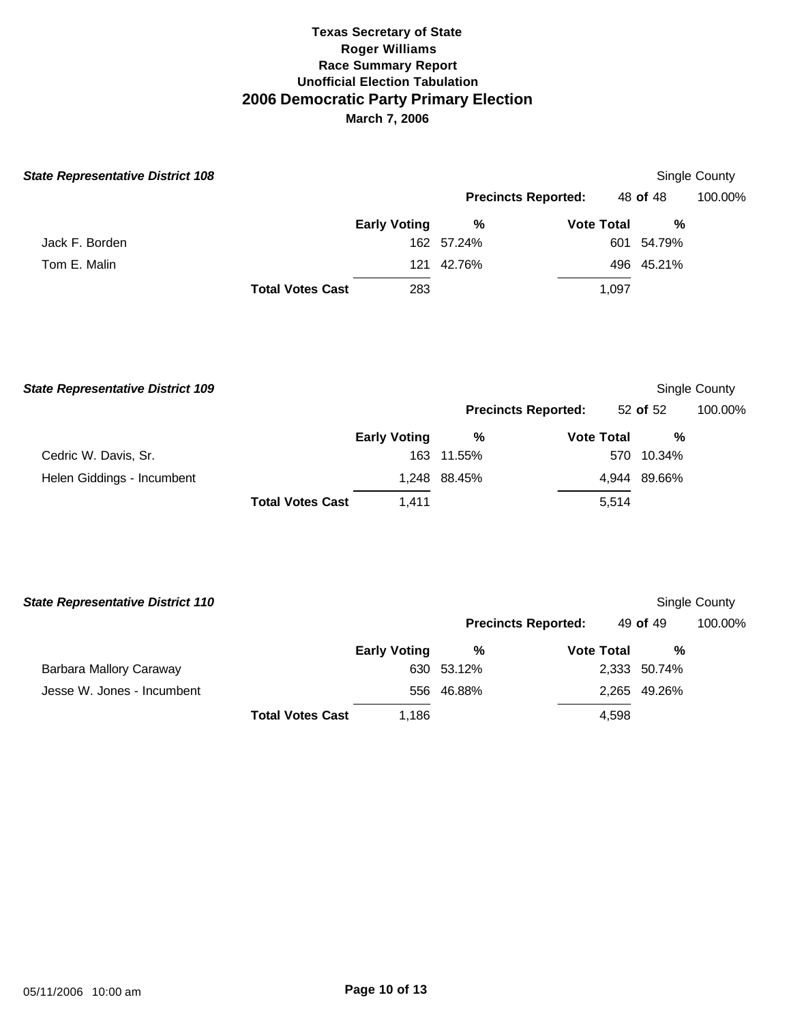| <b>State Representative District 108</b> |                         |                     |                            |                   |            | Single County |
|------------------------------------------|-------------------------|---------------------|----------------------------|-------------------|------------|---------------|
|                                          |                         |                     | <b>Precincts Reported:</b> |                   | 48 of 48   | 100.00%       |
|                                          |                         | <b>Early Voting</b> | %                          | <b>Vote Total</b> | %          |               |
| Jack F. Borden                           |                         |                     | 162 57.24%                 |                   | 601 54.79% |               |
| Tom E. Malin                             |                         | 121                 | 42.76%                     |                   | 496 45.21% |               |
|                                          | <b>Total Votes Cast</b> | 283                 |                            | 1,097             |            |               |

| <b>State Representative District 109</b> |                         |                     |                            |                   |              | Single County |
|------------------------------------------|-------------------------|---------------------|----------------------------|-------------------|--------------|---------------|
|                                          |                         |                     | <b>Precincts Reported:</b> |                   | 52 of 52     | 100.00%       |
|                                          |                         | <b>Early Voting</b> | %                          | <b>Vote Total</b> | %            |               |
| Cedric W. Davis, Sr.                     |                         |                     | 163 11.55%                 |                   | 570 10.34%   |               |
| Helen Giddings - Incumbent               |                         |                     | 1,248 88.45%               |                   | 4,944 89.66% |               |
|                                          | <b>Total Votes Cast</b> | 1.411               |                            | 5.514             |              |               |

| <b>State Representative District 110</b> |                     |                            |                   |              | Single County |
|------------------------------------------|---------------------|----------------------------|-------------------|--------------|---------------|
|                                          |                     | <b>Precincts Reported:</b> |                   | 49 of 49     | 100.00%       |
|                                          | <b>Early Voting</b> | %                          | <b>Vote Total</b> | %            |               |
| Barbara Mallory Caraway                  | 630                 | 53.12%                     |                   | 2,333 50.74% |               |
| Jesse W. Jones - Incumbent               |                     | 556 46.88%                 |                   | 2,265 49.26% |               |
| <b>Total Votes Cast</b>                  | 1.186               |                            | 4,598             |              |               |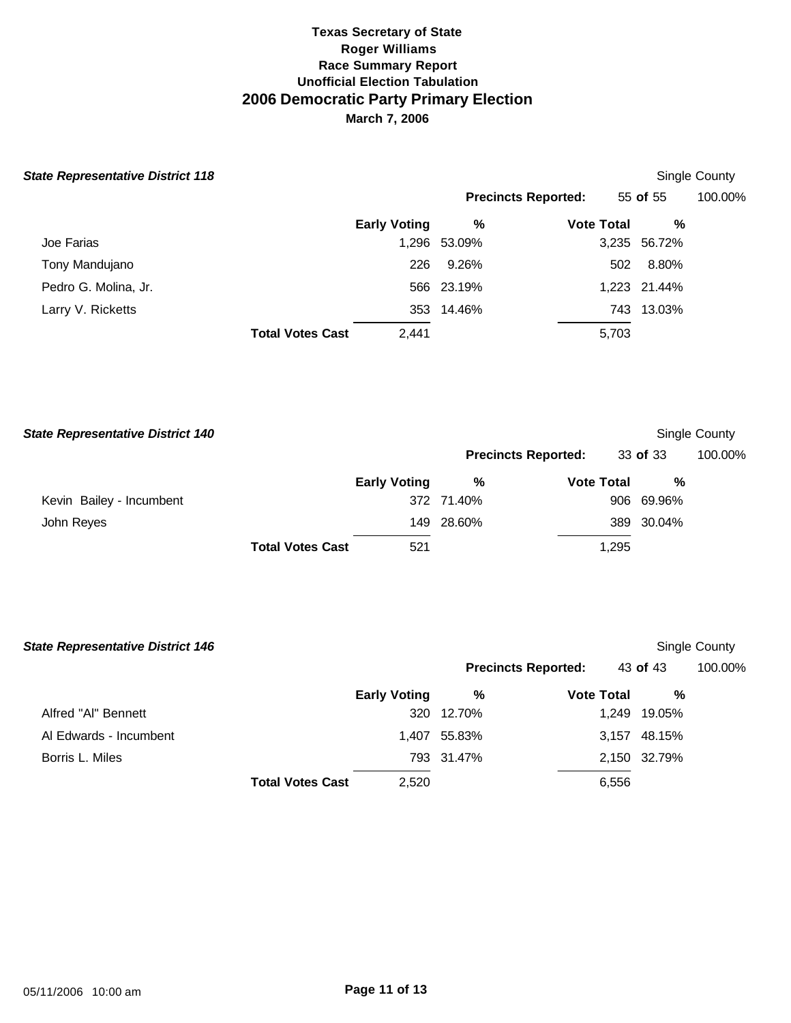| <b>State Representative District 118</b> |                         |                     |              |                            |              | Single County |
|------------------------------------------|-------------------------|---------------------|--------------|----------------------------|--------------|---------------|
|                                          |                         |                     |              | <b>Precincts Reported:</b> | 55 of 55     | 100.00%       |
|                                          |                         | <b>Early Voting</b> | %            | <b>Vote Total</b>          | %            |               |
| Joe Farias                               |                         |                     | 1,296 53.09% |                            | 3,235 56.72% |               |
| Tony Mandujano                           |                         | 226                 | 9.26%        | 502                        | 8.80%        |               |
| Pedro G. Molina, Jr.                     |                         |                     | 566 23.19%   |                            | 1,223 21.44% |               |
| Larry V. Ricketts                        |                         |                     | 353 14.46%   |                            | 743 13.03%   |               |
|                                          | <b>Total Votes Cast</b> | 2.441               |              | 5,703                      |              |               |

| <b>State Representative District 140</b> |                         |                     |            |                            |       |            | Single County |
|------------------------------------------|-------------------------|---------------------|------------|----------------------------|-------|------------|---------------|
|                                          |                         |                     |            | <b>Precincts Reported:</b> |       | 33 of 33   | 100.00%       |
|                                          |                         | <b>Early Voting</b> | %          | <b>Vote Total</b>          |       | %          |               |
| Kevin Bailey - Incumbent                 |                         |                     | 372 71.40% |                            |       | 906 69.96% |               |
| John Reyes                               |                         |                     | 149 28.60% |                            |       | 389 30.04% |               |
|                                          | <b>Total Votes Cast</b> | 521                 |            |                            | 1,295 |            |               |

| <b>State Representative District 146</b> |                         |                     |                            |                   |              | Single County |
|------------------------------------------|-------------------------|---------------------|----------------------------|-------------------|--------------|---------------|
|                                          |                         |                     | <b>Precincts Reported:</b> |                   | 43 of 43     | 100.00%       |
|                                          |                         | <b>Early Voting</b> | %                          | <b>Vote Total</b> | %            |               |
| Alfred "Al" Bennett                      |                         | 320                 | 12.70%                     | 1,249             | 19.05%       |               |
| Al Edwards - Incumbent                   |                         |                     | 1,407 55.83%               |                   | 3,157 48.15% |               |
| Borris L. Miles                          |                         |                     | 793 31.47%                 |                   | 2,150 32.79% |               |
|                                          | <b>Total Votes Cast</b> | 2,520               |                            | 6,556             |              |               |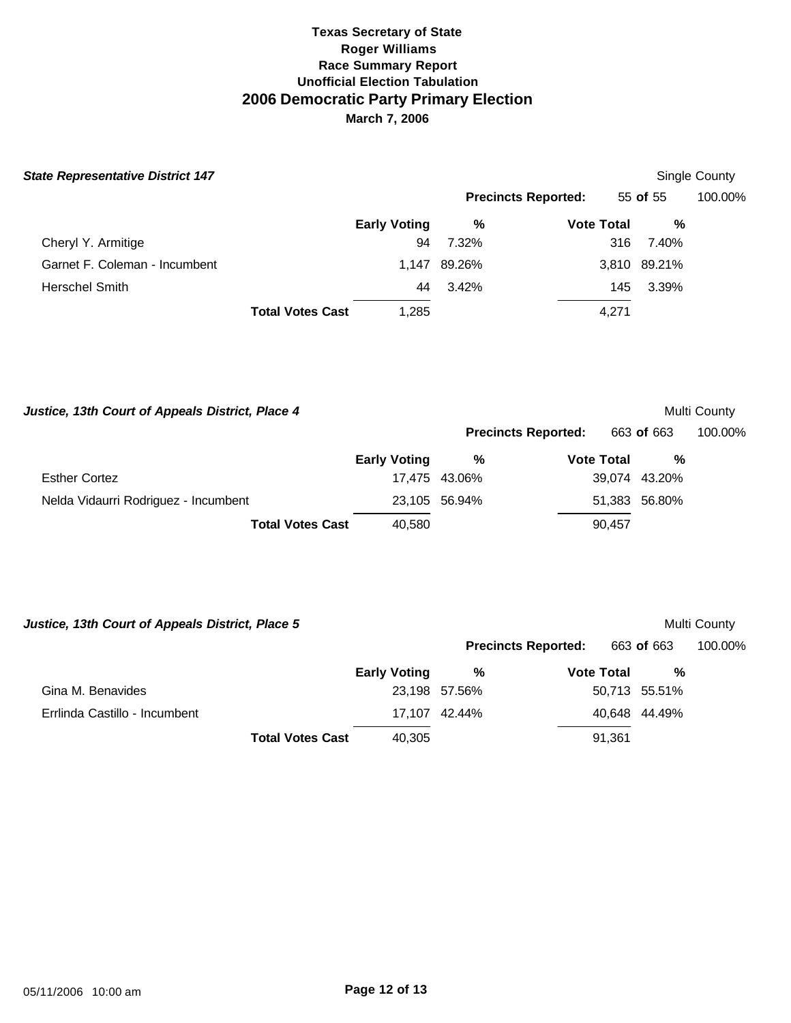| <b>State Representative District 147</b> |                         |                     |              |                            |              | Single County |
|------------------------------------------|-------------------------|---------------------|--------------|----------------------------|--------------|---------------|
|                                          |                         |                     |              | <b>Precincts Reported:</b> | 55 of 55     | 100.00%       |
|                                          |                         | <b>Early Voting</b> | %            | <b>Vote Total</b>          | %            |               |
| Cheryl Y. Armitige                       |                         | 94                  | 7.32%        |                            | 316<br>7.40% |               |
| Garnet F. Coleman - Incumbent            |                         |                     | 1,147 89.26% |                            | 3,810 89.21% |               |
| <b>Herschel Smith</b>                    |                         | 44                  | 3.42%        |                            | 3.39%<br>145 |               |
|                                          | <b>Total Votes Cast</b> | 1,285               |              | 4,271                      |              |               |

| Justice, 13th Court of Appeals District, Place 4 |                     |               |                            | Multi County  |         |  |  |
|--------------------------------------------------|---------------------|---------------|----------------------------|---------------|---------|--|--|
|                                                  |                     |               | <b>Precincts Reported:</b> | 663 of 663    | 100.00% |  |  |
|                                                  | <b>Early Voting</b> | %             | <b>Vote Total</b>          | %             |         |  |  |
| <b>Esther Cortez</b>                             |                     | 17.475 43.06% |                            | 39,074 43.20% |         |  |  |
| Nelda Vidaurri Rodriguez - Incumbent             |                     | 23,105 56.94% |                            | 51,383 56.80% |         |  |  |
| <b>Total Votes Cast</b>                          | 40,580              |               | 90,457                     |               |         |  |  |
|                                                  |                     |               |                            |               |         |  |  |

|                     |   |                                |                            | Multi County                                                                |
|---------------------|---|--------------------------------|----------------------------|-----------------------------------------------------------------------------|
|                     |   |                                |                            | 100.00%                                                                     |
| <b>Early Voting</b> | % |                                | %                          |                                                                             |
|                     |   |                                |                            |                                                                             |
|                     |   |                                |                            |                                                                             |
| 40,305              |   |                                |                            |                                                                             |
|                     |   | 23,198 57.56%<br>17.107 42.44% | <b>Precincts Reported:</b> | 663 of 663<br><b>Vote Total</b><br>50,713 55.51%<br>40.648 44.49%<br>91,361 |